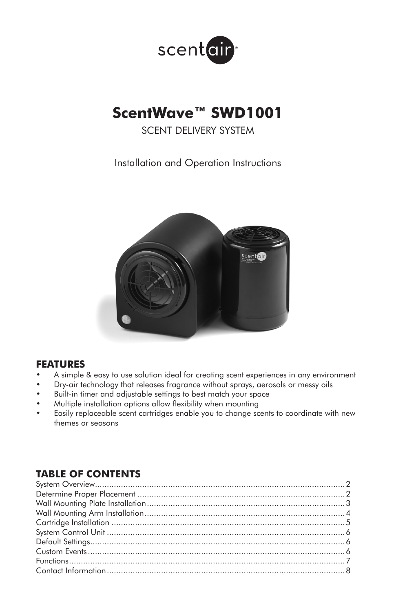

# **ScentWave™ SWD1001**

SCENT DELIVERY SYSTEM

Installation and Operation Instructions



### **FEATURES**

- A simple & easy to use solution ideal for creating scent experiences in any environment
- Dry-air technology that releases fragrance without sprays, aerosols or messy oils
- Built-in timer and adjustable settings to best match your space
- Multiple installation options allow flexibility when mounting
- Easily replaceable scent cartridges enable you to change scents to coordinate with new themes or seasons

# **TABLE OF CONTENTS**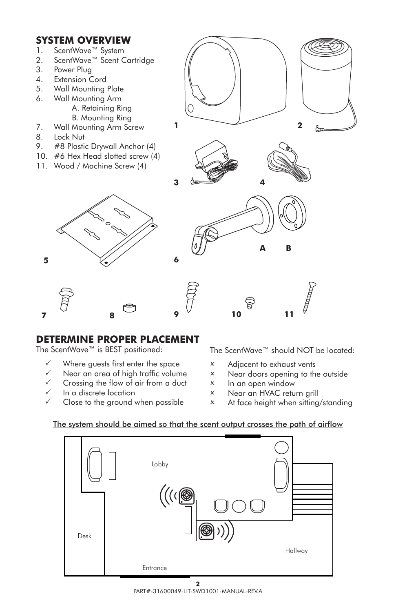## **SYSTEM OVERVIEW**

- 1. ScentWave™ System
- 2. ScentWave™ Scent Cartridge
- 3. Power Plug
- 4. Extension Cord
- 5. Wall Mounting Plate
- 6. Wall Mounting Arm
	- A. Retaining Ring B. Mounting Ring
- 7. Wall Mounting Arm Screw
- 8. Lock Nut
- 9. #8 Plastic Drywall Anchor (4)
- 10. #6 Hex Head slotted screw (4)
- 11. Wood / Machine Screw (4)









# **DETERMINE PROPER PLACEMENT**

The ScentWave™ is BEST positioned:

 $\checkmark$  Where guests first enter the space

**7 8 9**

- Near an area of high traffic volume
- Crossing the flow of air from a duct
- In a discrete location
- Close to the ground when possible

The ScentWave™ should NOT be located:

- 2 Adjacent to exhaust vents
- 2 Near doors opening to the outside
- 2 In an open window
- 2 Near an HVAC return grill
- 2 At face height when sitting/standing



### The system should be aimed so that the scent output crosses the path of airflow

**6**

 $\overline{2}$ PART#-31600049-LIT-SWD1001-MANUAL-REV.A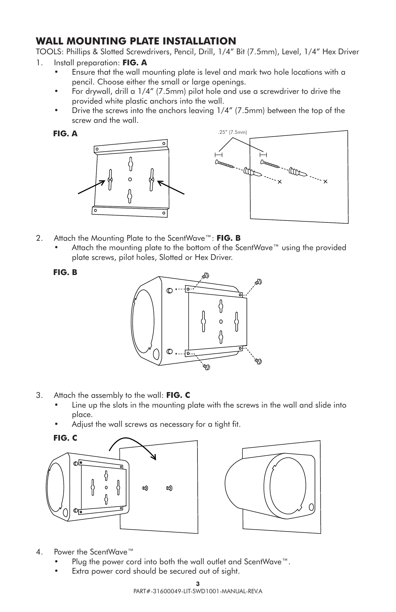# **WALL MOUNTING PLATE INSTALLATION**

TOOLS: Phillips & Slotted Screwdrivers, Pencil, Drill, 1/4" Bit (7.5mm), Level, 1/4" Hex Driver

- 1. Install preparation: **FIG. A**
	- Ensure that the wall mounting plate is level and mark two hole locations with a pencil. Choose either the small or large openings.
	- For drywall, drill a 1/4" (7.5mm) pilot hole and use a screwdriver to drive the provided white plastic anchors into the wall.
	- Drive the screws into the anchors leaving 1/4" (7.5mm) between the top of the screw and the wall.

**FIG. A**



- 2. Attach the Mounting Plate to the ScentWave™: **FIG. B**
	- Attach the mounting plate to the bottom of the ScentWave™ using the provided plate screws, pilot holes, Slotted or Hex Driver.

**FIG. B**



- 3. Attach the assembly to the wall: **FIG. C**
	- Line up the slots in the mounting plate with the screws in the wall and slide into place.
	- Adjust the wall screws as necessary for a tight fit.





- 4. Power the ScentWave™
	- Plug the power cord into both the wall outlet and ScentWave™.
	- Extra power cord should be secured out of sight.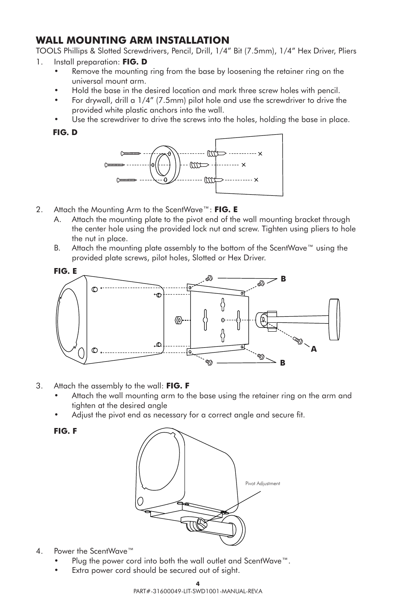# **WALL MOUNTING ARM INSTALLATION**

TOOLS Phillips & Slotted Screwdrivers, Pencil, Drill, 1/4" Bit (7.5mm), 1/4" Hex Driver, Pliers

- 1. Install preparation: **FIG. D**
	- Remove the mounting ring from the base by loosening the retainer ring on the universal mount arm.
	- Hold the base in the desired location and mark three screw holes with pencil.
	- For drywall, drill a 1/4" (7.5mm) pilot hole and use the screwdriver to drive the provided white plastic anchors into the wall.
	- Use the screwdriver to drive the screws into the holes, holding the base in place.

**FIG. D**



- 2. Attach the Mounting Arm to the ScentWave™: **FIG. E**
	- A. Attach the mounting plate to the pivot end of the wall mounting bracket through the center hole using the provided lock nut and screw. Tighten using pliers to hole the nut in place.
	- B. Attach the mounting plate assembly to the bottom of the ScentWave™ using the provided plate screws, pilot holes, Slotted or Hex Driver.



- 3. Attach the assembly to the wall: **FIG. F**
	- Attach the wall mounting arm to the base using the retainer ring on the arm and tighten at the desired angle
	- Adjust the pivot end as necessary for a correct angle and secure fit.



4. Power the ScentWave™

**FIG. F**

- Plug the power cord into both the wall outlet and ScentWave™.
- Extra power cord should be secured out of sight.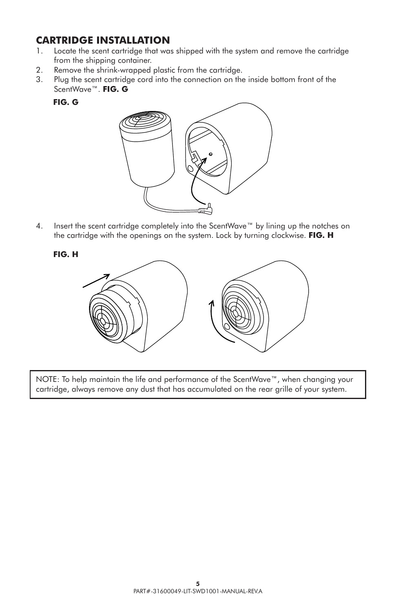# **CARTRIDGE INSTALLATION**<br>1. Locate the scent cartridge that way

- Locate the scent cartridge that was shipped with the system and remove the cartridge from the shipping container.
- 2. Remove the shrink-wrapped plastic from the cartridge.
- 3. Plug the scent cartridge cord into the connection on the inside bottom front of the ScentWave™. **FIG. G**
	- **FIG. G**



4. Insert the scent cartridge completely into the ScentWave™ by lining up the notches on the cartridge with the openings on the system. Lock by turning clockwise. **FIG. H**

**FIG. H**



NOTE: To help maintain the life and performance of the ScentWave™, when changing your cartridge, always remove any dust that has accumulated on the rear grille of your system.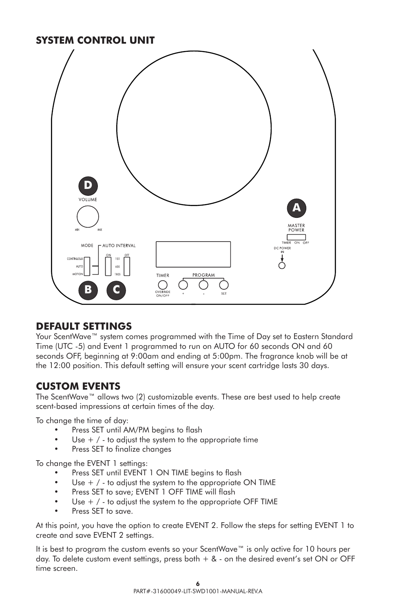# **SYSTEM CONTROL UNIT**



### **DEFAULT SETTINGS**

Your ScentWave™ system comes programmed with the Time of Day set to Eastern Standard Time (UTC -5) and Event 1 programmed to run on AUTO for 60 seconds ON and 60 seconds OFF, beginning at 9:00am and ending at 5:00pm. The fragrance knob will be at the 12:00 position. This default setting will ensure your scent cartridge lasts 30 days.

# **CUSTOM EVENTS**

The ScentWave™ allows two (2) customizable events. These are best used to help create scent-based impressions at certain times of the day.

To change the time of day:

- Press SET until AM/PM begins to flash
- Use  $+$  /  $-$  to adjust the system to the appropriate time
- Press SET to finalize changes

To change the EVENT 1 settings:

- Press SET until EVENT 1 ON TIME begins to flash
- Use  $+$  /  $-$  to adjust the system to the appropriate ON TIME
- Press SET to save; EVENT 1 OFF TIME will flash
- Use  $+$  /  $-$  to adjust the system to the appropriate OFF TIME
- Press SET to save.

At this point, you have the option to create EVENT 2. Follow the steps for setting EVENT 1 to create and save EVENT 2 settings.

It is best to program the custom events so your ScentWave™ is only active for 10 hours per day. To delete custom event settings, press both  $+ 8$  - on the desired event's set ON or OFF time screen.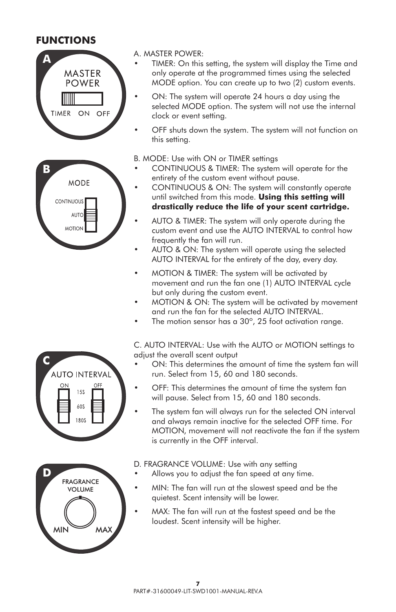## **FUNCTIONS**





**D**

**C**

FRAGRANCE VOLUME

**AUTO INTERVAL 15S** 60S 180S

 $MN \cong M$ 

### A. MASTER POWER:

- TIMER: On this setting, the system will display the Time and only operate at the programmed times using the selected MODE option. You can create up to two (2) custom events.
- ON: The system will operate 24 hours a day using the selected MODE option. The system will not use the internal clock or event setting.
- OFF shuts down the system. The system will not function on this setting.

#### B. MODE: Use with ON or TIMER settings

- CONTINUOUS & TIMER: The system will operate for the entirety of the custom event without pause.
- CONTINUOUS & ON: The system will constantly operate until switched from this mode. **Using this setting will drastically reduce the life of your scent cartridge.**
- AUTO & TIMER: The system will only operate during the custom event and use the AUTO INTERVAL to control how frequently the fan will run.
- AUTO & ON: The system will operate using the selected AUTO INTERVAL for the entirety of the day, every day.
- MOTION & TIMER: The system will be activated by movement and run the fan one (1) AUTO INTERVAL cycle but only during the custom event.
- MOTION & ON: The system will be activated by movement and run the fan for the selected AUTO INTERVAL.
- The motion sensor has a  $30^{\circ}$ , 25 foot activation range.

C. AUTO INTERVAL: Use with the AUTO or MOTION settings to adjust the overall scent output

- ON: This determines the amount of time the system fan will run. Select from 15, 60 and 180 seconds.
- OFF: This determines the amount of time the system fan will pause. Select from 15, 60 and 180 seconds.
- The system fan will always run for the selected ON interval and always remain inactive for the selected OFF time. For MOTION, movement will not reactivate the fan if the system is currently in the OFF interval.

D. FRAGRANCE VOLUME: Use with any setting

- Allows you to adjust the fan speed at any time.
- MIN: The fan will run at the slowest speed and be the quietest. Scent intensity will be lower.
- MAX: The fan will run at the fastest speed and be the loudest. Scent intensity will be higher.